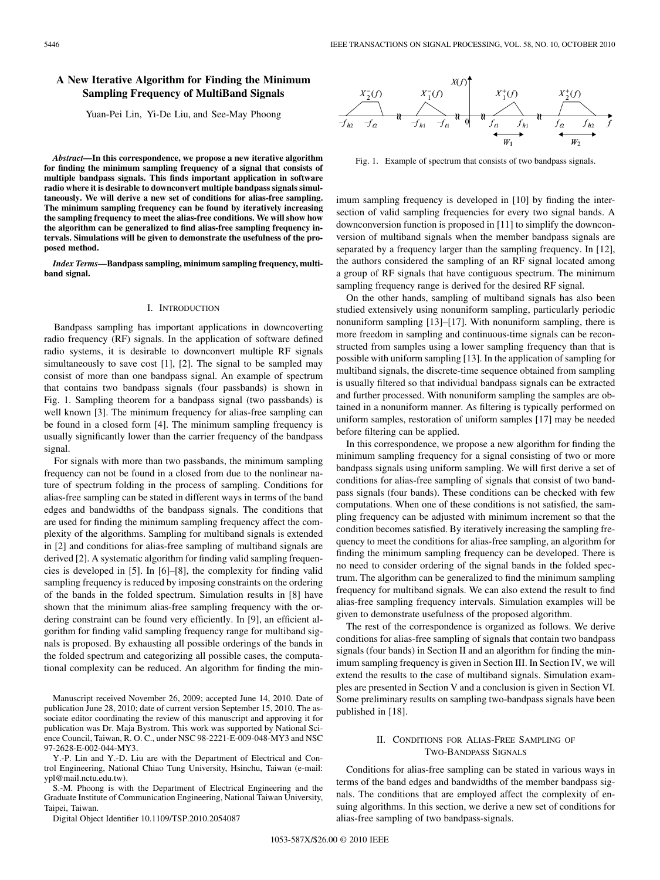# **A New Iterative Algorithm for Finding the Minimum Sampling Frequency of MultiBand Signals**

Yuan-Pei Lin, Yi-De Liu, and See-May Phoong

*Abstract—***In this correspondence, we propose a new iterative algorithm for finding the minimum sampling frequency of a signal that consists of multiple bandpass signals. This finds important application in software radio where it is desirable to downconvert multiple bandpass signals simultaneously. We will derive a new set of conditions for alias-free sampling. The minimum sampling frequency can be found by iteratively increasing the sampling frequency to meet the alias-free conditions. We will show how the algorithm can be generalized to find alias-free sampling frequency intervals. Simulations will be given to demonstrate the usefulness of the proposed method.**

*Index Terms—***Bandpass sampling, minimum sampling frequency, multiband signal.**

#### I. INTRODUCTION

Bandpass sampling has important applications in downcoverting radio frequency (RF) signals. In the application of software defined radio systems, it is desirable to downconvert multiple RF signals simultaneously to save cost [1], [2]. The signal to be sampled may consist of more than one bandpass signal. An example of spectrum that contains two bandpass signals (four passbands) is shown in Fig. 1. Sampling theorem for a bandpass signal (two passbands) is well known [3]. The minimum frequency for alias-free sampling can be found in a closed form [4]. The minimum sampling frequency is usually significantly lower than the carrier frequency of the bandpass signal.

For signals with more than two passbands, the minimum sampling frequency can not be found in a closed from due to the nonlinear nature of spectrum folding in the process of sampling. Conditions for alias-free sampling can be stated in different ways in terms of the band edges and bandwidths of the bandpass signals. The conditions that are used for finding the minimum sampling frequency affect the complexity of the algorithms. Sampling for multiband signals is extended in [2] and conditions for alias-free sampling of multiband signals are derived [2]. A systematic algorithm for finding valid sampling frequencies is developed in [5]. In [6]–[8], the complexity for finding valid sampling frequency is reduced by imposing constraints on the ordering of the bands in the folded spectrum. Simulation results in [8] have shown that the minimum alias-free sampling frequency with the ordering constraint can be found very efficiently. In [9], an efficient algorithm for finding valid sampling frequency range for multiband signals is proposed. By exhausting all possible orderings of the bands in the folded spectrum and categorizing all possible cases, the computational complexity can be reduced. An algorithm for finding the min-

Manuscript received November 26, 2009; accepted June 14, 2010. Date of publication June 28, 2010; date of current version September 15, 2010. The associate editor coordinating the review of this manuscript and approving it for publication was Dr. Maja Bystrom. This work was supported by National Science Council, Taiwan, R. O. C., under NSC 98-2221-E-009-048-MY3 and NSC 97-2628-E-002-044-MY3.

Y.-P. Lin and Y.-D. Liu are with the Department of Electrical and Control Engineering, National Chiao Tung University, Hsinchu, Taiwan (e-mail: ypl@mail.nctu.edu.tw).

S.-M. Phoong is with the Department of Electrical Engineering and the Graduate Institute of Communication Engineering, National Taiwan University, Taipei, Taiwan.

Digital Object Identifier 10.1109/TSP.2010.2054087



Fig. 1. Example of spectrum that consists of two bandpass signals.

imum sampling frequency is developed in [10] by finding the intersection of valid sampling frequencies for every two signal bands. A downconversion function is proposed in [11] to simplify the downconversion of multiband signals when the member bandpass signals are separated by a frequency larger than the sampling frequency. In [12], the authors considered the sampling of an RF signal located among a group of RF signals that have contiguous spectrum. The minimum sampling frequency range is derived for the desired RF signal.

On the other hands, sampling of multiband signals has also been studied extensively using nonuniform sampling, particularly periodic nonuniform sampling [13]–[17]. With nonuniform sampling, there is more freedom in sampling and continuous-time signals can be reconstructed from samples using a lower sampling frequency than that is possible with uniform sampling [13]. In the application of sampling for multiband signals, the discrete-time sequence obtained from sampling is usually filtered so that individual bandpass signals can be extracted and further processed. With nonuniform sampling the samples are obtained in a nonuniform manner. As filtering is typically performed on uniform samples, restoration of uniform samples [17] may be needed before filtering can be applied.

In this correspondence, we propose a new algorithm for finding the minimum sampling frequency for a signal consisting of two or more bandpass signals using uniform sampling. We will first derive a set of conditions for alias-free sampling of signals that consist of two bandpass signals (four bands). These conditions can be checked with few computations. When one of these conditions is not satisfied, the sampling frequency can be adjusted with minimum increment so that the condition becomes satisfied. By iteratively increasing the sampling frequency to meet the conditions for alias-free sampling, an algorithm for finding the minimum sampling frequency can be developed. There is no need to consider ordering of the signal bands in the folded spectrum. The algorithm can be generalized to find the minimum sampling frequency for multiband signals. We can also extend the result to find alias-free sampling frequency intervals. Simulation examples will be given to demonstrate usefulness of the proposed algorithm.

The rest of the correspondence is organized as follows. We derive conditions for alias-free sampling of signals that contain two bandpass signals (four bands) in Section II and an algorithm for finding the minimum sampling frequency is given in Section III. In Section IV, we will extend the results to the case of multiband signals. Simulation examples are presented in Section V and a conclusion is given in Section VI. Some preliminary results on sampling two-bandpass signals have been published in [18].

## II. CONDITIONS FOR ALIAS-FREE SAMPLING OF TWO-BANDPASS SIGNALS

Conditions for alias-free sampling can be stated in various ways in terms of the band edges and bandwidths of the member bandpass signals. The conditions that are employed affect the complexity of ensuing algorithms. In this section, we derive a new set of conditions for alias-free sampling of two bandpass-signals.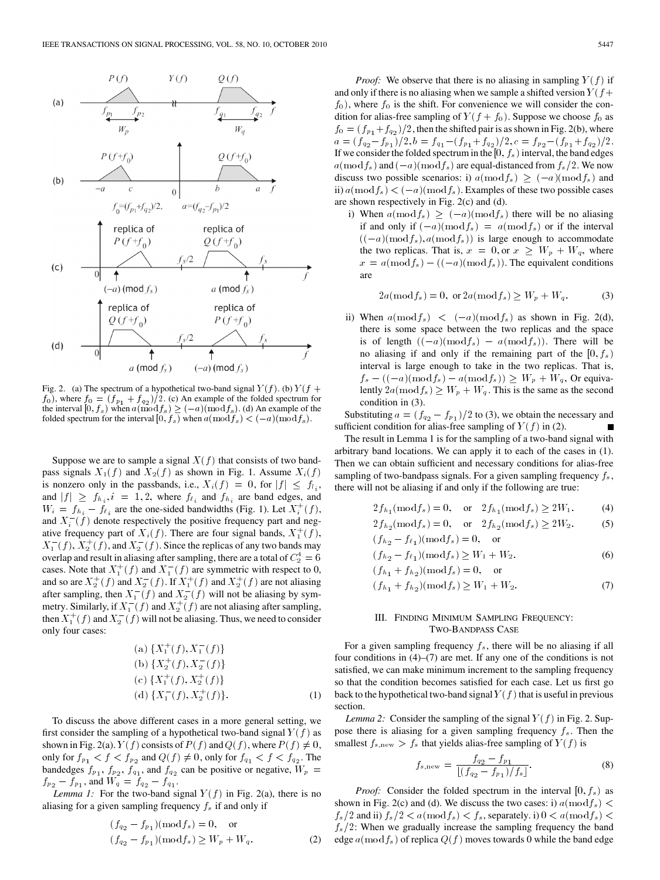

Fig. 2. (a) The spectrum of a hypothetical two-band signal  $Y(f)$ . (b)  $Y(f +$  $f_0$ ), where  $f_0 = (f_{p_1} + f_{q_2})/2$ . (c) An example of the folded spectrum for the interval  $[0, f_s)$  when  $a(\text{mod} f_s) \geq (-a)(\text{mod} f_s)$ . (d) An example of the folded spectrum for the interval  $[0, f_s)$  when  $a(\text{mod} f_s) < (-a)(\text{mod} f_s)$ .

Suppose we are to sample a signal  $X(f)$  that consists of two bandpass signals  $X_1(f)$  and  $X_2(f)$  as shown in Fig. 1. Assume  $X_i(f)$ is nonzero only in the passbands, i.e.,  $X_i(f) = 0$ , for  $|f| \le f_{l_i}$ , and  $|f| \ge f_{h_i}$ ,  $i = 1, 2$ , where  $f_{\ell_i}$  and  $f_{h_i}$  are band edges, and  $W_i = f_{h_i} - f_{\ell_i}$  are the one-sided bandwidths (Fig. 1). Let  $X_i^+(f)$ , and  $X_i^-(f)$  denote respectively the positive frequency part and neg- $W_i = f_{h_i} - f_{\ell_i}$  are the one-sided bandwidths (Fig. 1). Let  $X_i^+(f)$ ,  $\overline{i}(f)$  denote respectively the positive frequency part and negative frequency part of  $X_i(f)$ . There are four signal bands,  $X_1^+(f)$ , and  $X_i^{-1}$ ,  $f_i$  are the since calculated contentration  $(x, y, z)$  and  $X_i^{-1}(f)$  denote respectively the positive frequency part and negative frequency part of  $X_i(f)$ . There are four signal bands,  $X_1^+(f)$ ,  $X_1^-(f)$ ,  $X_$ overlap and result in aliasing after sampling, there are a total of  $C_2^4 = 6$  cases. Note that  $X_1^+(f)$  and  $X_1^-(f)$  are symmetric with respect to 0, and so are  $X_2^+(f)$  and  $X_2^-(f)$ . If  $X_1^+(f)$  and  $X_2^+(f)$  are n cases. Note that  $X_1^+(f)$  and  $X_1^-(f)$  are symmetric with respect to 0,<br>and so are  $X_2^+(f)$  and  $X_2^-(f)$ . If  $X_1^+(f)$  and  $X_2^+(f)$  are not aliasing<br>after sampling, then  $X_1^-(f)$  and  $X_2^-(f)$  will not be aliasing b and so are  $X_2^+(f)$  and  $X_2^-(f)$ . If  $X_1^+(f)$  and  $X_2^+(f)$  are not aliasing<br>after sampling, then  $X_1^-(f)$  and  $X_2^-(f)$  will not be aliasing by sym-<br>metry. Similarly, if  $X_1^-(f)$  and  $X_2^+(f)$  are not aliasing after  $\lim_{T \to \infty} \lim_{T \to \infty} \frac{H_2(T) \cdot H_1(T)}{T}$  and  $\frac{H_2(T)}{T}$  will not be aliasing by sym-<br>larly, if  $X_1^-(f)$  and  $X_2^+(f)$  are not aliasing after sampling,<br>) and  $X_2^-(f)$  will not be aliasing. Thus, we need to consider  $\frac{1}{1}(f)$  and  $X_2^+(f)$  are not aliasing after sampling, then  $X_1^+(f)$  and  $X_2^-(f)$  will not be aliasing. Thus, we need to consider<br>only four cases:<br>(a)  $\{X_1^+(f), X_1^-(f)\}$ only four cases:

(a) 
$$
\{X_1^+(f), X_1^-(f)\}\
$$
  
\n(b)  $\{X_2^+(f), X_2^-(f)\}\$   
\n(c)  $\{X_1^+(f), X_2^+(f)\}\$   
\n(d)  $\{X_1^-(f), X_2^+(f)\}\.$  (1)

To discuss the above different cases in a more general setting, we first consider the sampling of a hypothetical two-band signal  $Y(f)$  as shown in Fig. 2(a).  $Y(f)$  consists of  $P(f)$  and  $Q(f)$ , where  $P(f) \neq 0$ , only for  $f_{p_1} < f < f_{p_2}$  and  $Q(f) \neq 0$ , only for  $f_{q_1} < f < f_{q_2}$ . The bandedges  $f_{p_1}, f_{p_2}, f_{q_1}$ , and  $f_{q_2}$  can be positive or negative,  $W_p =$  $f_{p_2} - f_{p_1}$ , and  $W_q = f_{q_2} - f_{q_1}$ .

*Lemma 1:* For the two-band signal  $Y(f)$  in Fig. 2(a), there is no aliasing for a given sampling frequency  $f_s$  if and only if

$$
(f_{q_2} - f_{p_1})(\text{mod} f_s) = 0, \text{ or}
$$
  

$$
(f_{q_2} - f_{p_1})(\text{mod} f_s) \ge W_p + W_q.
$$
 (2)

*Proof:* We observe that there is no aliasing in sampling  $Y(f)$  if and only if there is no aliasing when we sample a shifted version  $Y(f+)$  $f_0$ ), where  $f_0$  is the shift. For convenience we will consider the condition for alias-free sampling of  $Y(f + f_0)$ . Suppose we choose  $f_0$  as  $f_0 = (f_{p_1} + f_{q_2})/2$ , then the shifted pair is as shown in Fig. 2(b), where  $a = (f_{q_2} - f_{p_1})/2, b = f_{q_1} - (f_{p_1} + f_{q_2})/2, c = f_{p_2} - (f_{p_1} + f_{q_2})/2.$ If we consider the folded spectrum in the  $[0, f_s)$  interval, the band edges  $a(\bmod f_s)$  and  $(-a)(\bmod f_s)$  are equal-distanced from  $f_s/2$ . We now discuss two possible scenarios: i)  $a(\text{mod} f_s) \geq (-a)(\text{mod} f_s)$  and ii)  $a(\bmod f_s) < (-a)(\bmod f_s)$ . Examples of these two possible cases are shown respectively in Fig. 2(c) and (d).

i) When  $a(\text{mod}f_s) \geq (-a)(\text{mod}f_s)$  there will be no aliasing if and only if  $(-a)(\text{mod}f_s) = a(\text{mod}f_s)$  or if the interval  $((-a)(\text{mod}f_s), a(\text{mod}f_s))$  is large enough to accommodate the two replicas. That is,  $x = 0$ , or  $x \geq W_p + W_q$ , where  $x = a(\text{mod}f_s) - ((-a)(\text{mod}f_s))$ . The equivalent conditions are

$$
2a(\text{mod}f_s) = 0, \text{ or } 2a(\text{mod}f_s) \ge W_p + W_q. \tag{3}
$$

ii) When  $a(\bmod f_s) < (-a)(\bmod f_s)$  as shown in Fig. 2(d), there is some space between the two replicas and the space is of length  $((-a)(\text{mod}f_s)) - a(\text{mod}f_s)$ . There will be no aliasing if and only if the remaining part of the  $[0, f_s)$ interval is large enough to take in the two replicas. That is,  $f_s - ((-a)(\text{mod}f_s) - a(\text{mod}f_s)) \geq W_p + W_q$ , Or equivalently  $2a(\bmod f_s) \geq W_p + W_q$ . This is the same as the second condition in (3).

Substituting  $a = (f_{q_2} - f_{p_1})/2$  to (3), we obtain the necessary and sufficient condition for alias-free sampling of  $Y(f)$  in (2).

The result in Lemma 1 is for the sampling of a two-band signal with arbitrary band locations. We can apply it to each of the cases in (1). Then we can obtain sufficient and necessary conditions for alias-free sampling of two-bandpass signals. For a given sampling frequency  $f_s$ , there will not be aliasing if and only if the following are true:

$$
2f_{h_1}(\bmod f_s) = 0, \quad \text{or} \quad 2f_{h_1}(\bmod f_s) \ge 2W_1. \tag{4}
$$

$$
2f_{h_2}(\text{mod}f_s) = 0
$$
, or  $2f_{h_2}(\text{mod}f_s) \ge 2W_2$ . (5)

$$
(f_{h_2} - f_{\ell_1}) (\bmod f_s) = 0, \quad \text{or}
$$

$$
(f_{h_2} - f_{\ell_1})(\text{mod}f_s) \ge W_1 + W_2. \tag{6}
$$

$$
(f_{h_1} + f_{h_2})(\text{mod}f_s) = 0, \text{ or}
$$
  

$$
(f_{h_1} + f_{h_2})(\text{mod}f_s) \ge W_1 + W_2.
$$
 (7)

$$
\left( \begin{array}{cccc} \n\lambda & \lambda & \lambda & \lambda & \lambda \\
\lambda & \lambda & \lambda & \lambda & \lambda\n \end{array} \right)
$$

## III. FINDING MINIMUM SAMPLING FREQUENCY: TWO-BANDPASS CASE

For a given sampling frequency  $f_s$ , there will be no aliasing if all four conditions in  $(4)$ – $(7)$  are met. If any one of the conditions is not satisfied, we can make minimum increment to the sampling frequency so that the condition becomes satisfied for each case. Let us first go back to the hypothetical two-band signal  $Y(f)$  that is useful in previous section.

*Lemma 2:* Consider the sampling of the signal  $Y(f)$  in Fig. 2. Suppose there is aliasing for a given sampling frequency  $f_s$ . Then the smallest  $f_{s, new} > f_s$  that yields alias-free sampling of  $Y(f)$  is

$$
f_{s,\text{new}} = \frac{f_{q_2} - f_{p_1}}{\lfloor (f_{q_2} - f_{p_1})/f_s \rfloor}.
$$
 (8)

*Proof:* Consider the folded spectrum in the interval  $[0, f_s)$  as shown in Fig. 2(c) and (d). We discuss the two cases: i)  $a(\bmod f_s)$  <  $f_s/2$  and ii)  $f_s/2 < a \pmod{f_s} < f_s$ , separately. i)  $0 < a \pmod{f_s} <$  $f_s/2$ : When we gradually increase the sampling frequency the band edge  $a(\bmod f_s)$  of replica  $Q(f)$  moves towards 0 while the band edge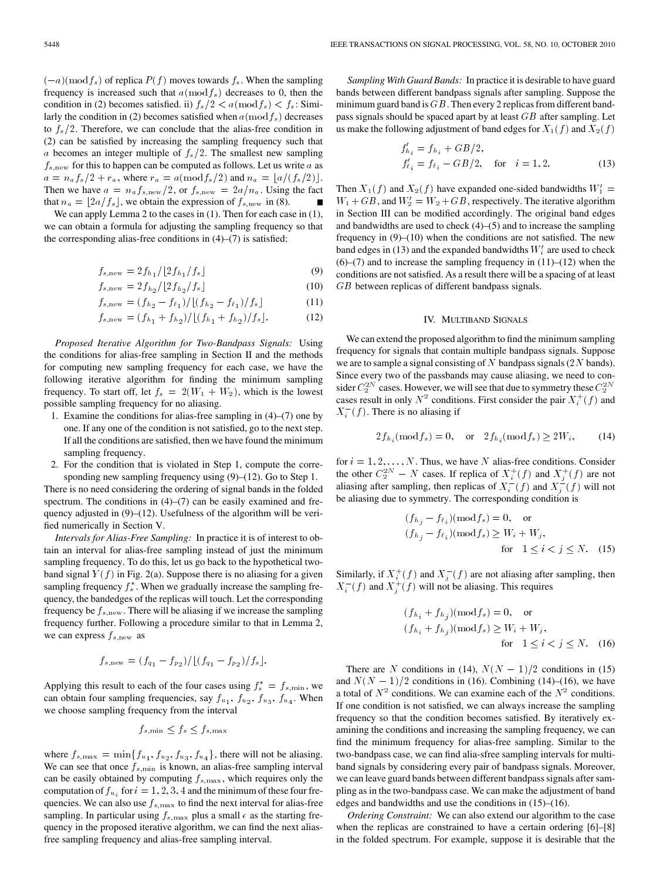$(-a)(\text{mod}f_s)$  of replica  $P(f)$  moves towards  $f_s$ . When the sampling frequency is increased such that  $a(\bmod f_s)$  decreases to 0, then the condition in (2) becomes satisfied. ii)  $f_s/2 < a$  (mod $f_s$ )  $\lt f_s$ : Similarly the condition in (2) becomes satisfied when  $a(\text{mod} f_s)$  decreases to  $f_s/2$ . Therefore, we can conclude that the alias-free condition in (2) can be satisfied by increasing the sampling frequency such that a becomes an integer multiple of  $f_s/2$ . The smallest new sampling  $f_{s, new}$  for this to happen can be computed as follows. Let us write  $a$  as  $a = n_a f_s/2 + r_a$ , where  $r_a = a \pmod{f_s/2}$  and  $n_a = \lfloor a/(f_s/2) \rfloor$ . Then we have  $a = n_a f_{s, new}/2$ , or  $f_{s, new} = 2a/n_a$ . Using the fact that  $n_a = \lfloor 2a/f_s \rfloor$ , we obtain the expression of  $f_{s, new}$  in (8).

We can apply Lemma 2 to the cases in (1). Then for each case in (1), we can obtain a formula for adjusting the sampling frequency so that the corresponding alias-free conditions in (4)–(7) is satisfied:

$$
f_{s, \text{new}} = 2f_{h_1}/[2f_{h_1}/f_s]
$$
 (9)

$$
f_{s,\text{new}} = 2f_{h_2}/[2f_{h_2}/f_s]
$$
 (10)

$$
f_{s,\text{new}} = (f_{h_2} - f_{\ell_1}) / \lfloor (f_{h_2} - f_{\ell_1}) / f_s \rfloor \tag{11}
$$

$$
f_{s,\text{new}} = (f_{h_1} + f_{h_2}) / [(f_{h_1} + f_{h_2}) / f_s]. \tag{12}
$$

*Proposed Iterative Algorithm for Two-Bandpass Signals:* Using the conditions for alias-free sampling in Section II and the methods for computing new sampling frequency for each case, we have the following iterative algorithm for finding the minimum sampling frequency. To start off, let  $f_s = 2(W_1 + W_2)$ , which is the lowest possible sampling frequency for no aliasing.

- 1. Examine the conditions for alias-free sampling in (4)–(7) one by one. If any one of the condition is not satisfied, go to the next step. If all the conditions are satisfied, then we have found the minimum sampling frequency.
- 2. For the condition that is violated in Step 1, compute the corresponding new sampling frequency using  $(9)$ – $(12)$ . Go to Step 1.

There is no need considering the ordering of signal bands in the folded spectrum. The conditions in  $(4)$ – $(7)$  can be easily examined and frequency adjusted in (9)–(12). Usefulness of the algorithm will be verified numerically in Section V.

*Intervals for Alias-Free Sampling:* In practice it is of interest to obtain an interval for alias-free sampling instead of just the minimum sampling frequency. To do this, let us go back to the hypothetical twoband signal  $Y(f)$  in Fig. 2(a). Suppose there is no aliasing for a given sampling frequency  $f_s^*$ . When we gradually increase the sampling frequency, the bandedges of the replicas will touch. Let the corresponding frequency be  $f_{s, new}$ . There will be aliasing if we increase the sampling frequency further. Following a procedure similar to that in Lemma 2, we can express  $f_{s, new}$  as

$$
f_{s, new} = (f_{q_1} - f_{p_2}) / [(f_{q_1} - f_{p_2}) / f_s].
$$

Applying this result to each of the four cases using  $f_s^* = f_{s,\text{min}}$ , we can obtain four sampling frequencies, say  $f_{u_1}, f_{u_2}, f_{u_3}, f_{u_4}$ . When we choose sampling frequency from the interval

$$
f_{s,\min} \le f_s \le f_{s,\max}
$$

where  $f_{s, \max} = \min\{f_{u_1}, f_{u_2}, f_{u_3}, f_{u_4}\}\$ , there will not be aliasing. We can see that once  $f_{s,\min}$  is known, an alias-free sampling interval can be easily obtained by computing  $f_{s, \text{max}}$ , which requires only the computation of  $f_{u_i}$  for  $i = 1, 2, 3, 4$  and the minimum of these four frequencies. We can also use  $f_{s, \text{max}}$  to find the next interval for alias-free sampling. In particular using  $f_{s, \text{max}}$  plus a small  $\epsilon$  as the starting frequency in the proposed iterative algorithm, we can find the next aliasfree sampling frequency and alias-free sampling interval.

*Sampling With Guard Bands:* In practice it is desirable to have guard bands between different bandpass signals after sampling. Suppose the minimum guard band is  $GB$ . Then every 2 replicas from different bandpass signals should be spaced apart by at least  $GB$  after sampling. Let us make the following adjustment of band edges for  $X_1(f)$  and  $X_2(f)$ 

$$
f'_{h_i} = f_{h_i} + GB/2,
$$
  
\n
$$
f'_{\ell_i} = f_{\ell_i} - GB/2, \text{ for } i = 1, 2.
$$
 (13)

Then  $X_1(f)$  and  $X_2(f)$  have expanded one-sided bandwidths  $W'_1$  =  $W_1 + GB$ , and  $W_2' = W_2 + GB$ , respectively. The iterative algorithm in Section III can be modified accordingly. The original band edges and bandwidths are used to check  $(4)$ – $(5)$  and to increase the sampling frequency in (9)–(10) when the conditions are not satisfied. The new band edges in (13) and the expanded bandwidths  $W_i'$  are used to check  $(6)$ – $(7)$  and to increase the sampling frequency in  $(11)$ – $(12)$  when the conditions are not satisfied. As a result there will be a spacing of at least  $GB$  between replicas of different bandpass signals.

### IV. MULTIBAND SIGNALS

We can extend the proposed algorithm to find the minimum sampling frequency for signals that contain multiple bandpass signals. Suppose we are to sample a signal consisting of N bandpass signals  $(2N$  bands). Since every two of the passbands may cause aliasing, we need to consider  $C_2^{2N}$  cases. However, we will see that due to symmetry these  $C_2^{2N}$ cases result in only  $N^2$  conditions. First consider the pair  $X_i^+(f)$  and  $X_i^-(f)$ . There is no aliasing if

$$
2f_{h_i}(\text{mod}f_s) = 0, \quad \text{or} \quad 2f_{h_i}(\text{mod}f_s) \ge 2W_i, \tag{14}
$$

for  $i = 1, 2, ..., N$ . Thus, we have N alias-free conditions. Consider the other  $C_2^{2N}$  – N cases. If replica of  $X_i^+(f)$  and  $X_j^+(f)$  are not aliasing after sampling, then replicas of  $X_i^-(f)$  and  $X_j^-(f)$  will not be aliasing due to symmetry. The corresponding condition is

$$
(f_{h_j} - f_{\ell_i})(\text{mod}f_s) = 0, \text{ or}
$$
  

$$
(f_{h_j} - f_{\ell_i})(\text{mod}f_s) \ge W_i + W_j,
$$
  
for  $1 \le i < j \le N$ . (15)

Similarly, if  $X_i^+(f)$  and  $X_j^-(f)$  are not aliasing after sampling, then  $X_i^-(f)$  and  $X_j^+(f)$  will not be aliasing. This requires

$$
(f_{h_i} + f_{h_j})(\text{mod}f_s) = 0, \text{ or}
$$
  

$$
(f_{h_i} + f_{h_j})(\text{mod}f_s) \ge W_i + W_j,
$$
  
for  $1 \le i < j \le N$ . (16)

There are N conditions in (14),  $N(N - 1)/2$  conditions in (15) and  $N(N-1)/2$  conditions in (16). Combining (14)–(16), we have a total of  $N^2$  conditions. We can examine each of the  $N^2$  conditions. If one condition is not satisfied, we can always increase the sampling frequency so that the condition becomes satisfied. By iteratively examining the conditions and increasing the sampling frequency, we can find the minimum frequency for alias-free sampling. Similar to the two-bandpass case, we can find alia-sfree sampling intervals for multiband signals by considering every pair of bandpass signals. Moreover, we can leave guard bands between different bandpass signals after sampling as in the two-bandpass case. We can make the adjustment of band edges and bandwidths and use the conditions in (15)–(16).

*Ordering Constraint:* We can also extend our algorithm to the case when the replicas are constrained to have a certain ordering [6]–[8] in the folded spectrum. For example, suppose it is desirable that the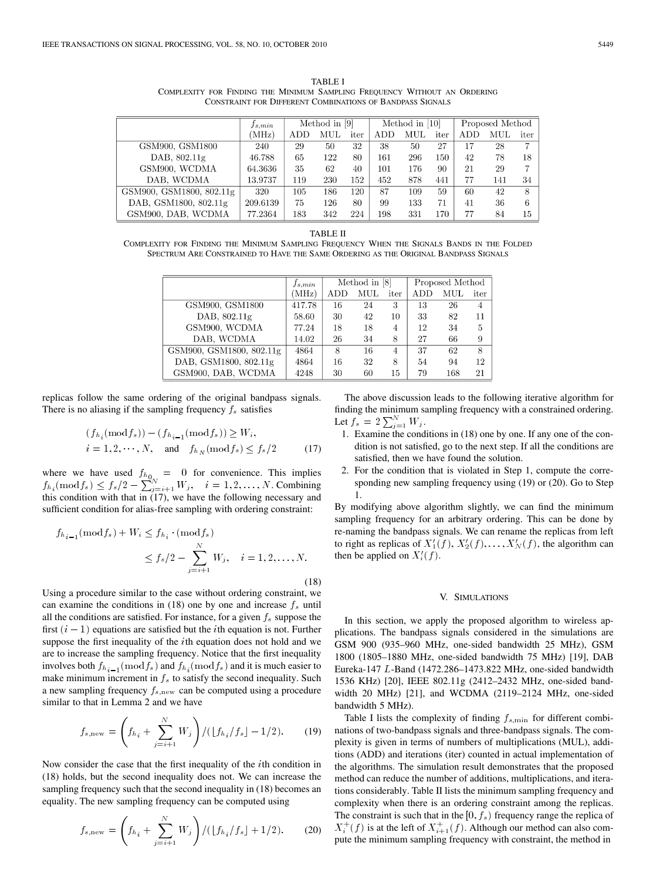TABLE I COMPLEXITY FOR FINDING THE MINIMUM SAMPLING FREQUENCY WITHOUT AN ORDERING CONSTRAINT FOR DIFFERENT COMBINATIONS OF BANDPASS SIGNALS

|                          | J <sub>s</sub> min | Method in [9] |     |      | Method in [10] |     |      | Proposed Method |     |      |
|--------------------------|--------------------|---------------|-----|------|----------------|-----|------|-----------------|-----|------|
|                          | (MHz)              | ADD.          | MUL | iter | ADD            | MUL | iter | ADD             | MUL | iter |
| GSM900, GSM1800          | 240                | 29            | 50  | 32   | 38             | 50  | 27   | 17              | 28  | 7    |
| DAB, 802.11g             | 46.788             | 65            | 122 | 80   | 161            | 296 | 150  | 42              | 78  | 18   |
| GSM900, WCDMA            | 64.3636            | 35            | 62  | 40   | 101            | 176 | 90   | 21              | 29  | 7    |
| DAB. WCDMA               | 13.9737            | 119           | 230 | 152  | 452            | 878 | 441  | 77              | 141 | 34   |
| GSM900, GSM1800, 802.11g | 320                | 105           | 186 | 120  | 87             | 109 | 59   | 60              | 42  | 8    |
| DAB, GSM1800, 802.11g    | 209.6139           | 75            | 126 | 80   | 99             | 133 | 71   | 41              | 36  | 6    |
| GSM900, DAB, WCDMA       | 77.2364            | 183           | 342 | 224  | 198            | 331 | 170  | 77              | 84  | 15   |

### TABLE II

COMPLEXITY FOR FINDING THE MINIMUM SAMPLING FREQUENCY WHEN THE SIGNALS BANDS IN THE FOLDED SPECTRUM ARE CONSTRAINED TO HAVE THE SAME ORDERING AS THE ORIGINAL BANDPASS SIGNALS

|                          | $J_{s,min}$ | Method in [8] |     |      | Proposed Method |     |      |  |
|--------------------------|-------------|---------------|-----|------|-----------------|-----|------|--|
|                          | (MHz)       | ADD           | MUL | iter | ADD             | MUL | iter |  |
| GSM900, GSM1800          | 417.78      | 16            | 24  | 3    | 13              | 26  | 4    |  |
| DAB, 802.11g             | 58.60       | 30            | 42  | 10   | 33              | 82  | 11   |  |
| GSM900, WCDMA            | 77.24       | 18            | 18  | 4    | 12              | 34  | 5    |  |
| DAB, WCDMA               | 14.02       | 26            | 34  | 8    | 27              | 66  | 9    |  |
| GSM900, GSM1800, 802.11g | 4864        | 8             | 16  | 4    | 37              | 62  | 8    |  |
| DAB, GSM1800, 802.11g    | 4864        | 16            | 32  | 8    | 54              | 94  | 12   |  |
| GSM900, DAB, WCDMA       | 4248        | 30            | 60  | 15   | 79              | 168 | 21   |  |

replicas follow the same ordering of the original bandpass signals. There is no aliasing if the sampling frequency  $f_s$  satisfies

$$
(f_{h_i}(\text{mod}f_s)) - (f_{h_{i-1}}(\text{mod}f_s)) \ge W_i,
$$
  

$$
i = 1, 2, \cdots, N, \text{ and } f_{h_N}(\text{mod}f_s) \le f_s/2
$$
 (17)

where we have used  $f_{h}$  = 0 for convenience. This implies  $f_{h_i}(\text{mod}f_s) \le f_s/2 - \sum_{j=i+1}^{N} W_j, \quad i = 1, 2, ..., N.$  Combining this condition with that in (17), we have the following necessary and sufficient condition for alias-free sampling with ordering constraint:

$$
f_{h_{i-1}}(\text{mod}f_s) + W_i \le f_{h_i} \cdot (\text{mod}f_s)
$$
  

$$
\le f_s/2 - \sum_{j=i+1}^{N} W_j, \quad i = 1, 2, ..., N.
$$
  
(18)

Using a procedure similar to the case without ordering constraint, we can examine the conditions in (18) one by one and increase  $f_s$  until all the conditions are satisfied. For instance, for a given  $f_s$  suppose the first  $(i - 1)$  equations are satisfied but the *i*th equation is not. Further suppose the first inequality of the  $i$ th equation does not hold and we are to increase the sampling frequency. Notice that the first inequality involves both  $f_{h_{i-1}}(\bmod f_s)$  and  $f_{h_i}(\bmod f_s)$  and it is much easier to make minimum increment in  $f_s$  to satisfy the second inequality. Such a new sampling frequency  $f_{s, new}$  can be computed using a procedure similar to that in Lemma 2 and we have

$$
f_{s,\text{new}} = \left(f_{h_i} + \sum_{j=i+1}^{N} W_j\right) / (\lfloor f_{h_i} / f_s \rfloor - 1/2). \tag{19}
$$

Now consider the case that the first inequality of the  $i$ th condition in (18) holds, but the second inequality does not. We can increase the sampling frequency such that the second inequality in (18) becomes an equality. The new sampling frequency can be computed using

$$
f_{s, \text{new}} = \left( f_{h_i} + \sum_{j=i+1}^{N} W_j \right) / (\lfloor f_{h_i} / f_s \rfloor + 1/2). \tag{20}
$$

The above discussion leads to the following iterative algorithm for finding the minimum sampling frequency with a constrained ordering. Let  $f_s = 2 \sum_{j=1}^{N} W_j$ .

- 1. Examine the conditions in (18) one by one. If any one of the condition is not satisfied, go to the next step. If all the conditions are satisfied, then we have found the solution.
- 2. For the condition that is violated in Step 1, compute the corresponding new sampling frequency using (19) or (20). Go to Step 1.

By modifying above algorithm slightly, we can find the minimum sampling frequency for an arbitrary ordering. This can be done by re-naming the bandpass signals. We can rename the replicas from left to right as replicas of  $X_1'(f)$ ,  $X_2'(f)$ , ...,  $X_N'(f)$ , the algorithm can then be applied on  $X_i'(f)$ .

#### V. SIMULATIONS

In this section, we apply the proposed algorithm to wireless applications. The bandpass signals considered in the simulations are GSM 900 (935–960 MHz, one-sided bandwidth 25 MHz), GSM 1800 (1805–1880 MHz, one-sided bandwidth 75 MHz) [19], DAB Eureka-147  $L$ -Band (1472.286–1473.822 MHz, one-sided bandwidth 1536 KHz) [20], IEEE 802.11g (2412–2432 MHz, one-sided bandwidth 20 MHz) [21], and WCDMA (2119–2124 MHz, one-sided bandwidth 5 MHz).

Table I lists the complexity of finding  $f_{s,min}$  for different combinations of two-bandpass signals and three-bandpass signals. The complexity is given in terms of numbers of multiplications (MUL), additions (ADD) and iterations (iter) counted in actual implementation of the algorithms. The simulation result demonstrates that the proposed method can reduce the number of additions, multiplications, and iterations considerably. Table II lists the minimum sampling frequency and complexity when there is an ordering constraint among the replicas. The constraint is such that in the  $[0, f_s)$  frequency range the replica of  $X_i^+(f)$  is at the left of  $X_{i+1}^+(f)$ . Although our method can also compute the minimum sampling frequency with constraint, the method in